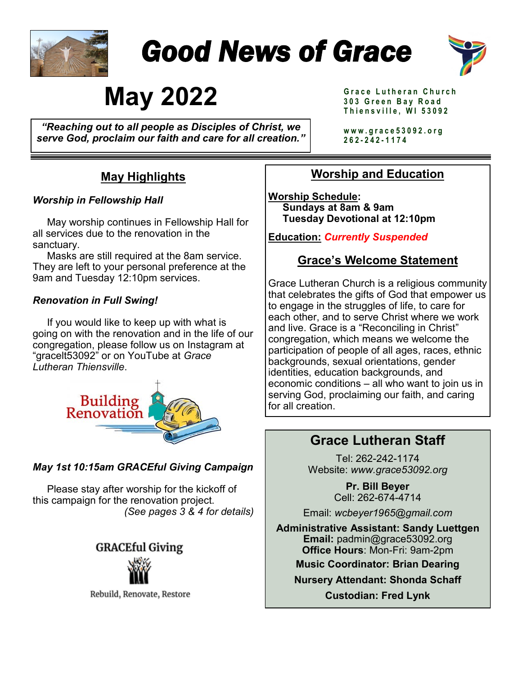

# *Good News of Grace*



# **May 2022**

*"Reaching out to all people as Disciples of Christ, we serve God, proclaim our faith and care for all creation."*  **G r a c e L u t h e r a n C h u r c h 3 0 3 G r e e n B a y R o a d T h i e n s v i l l e , W I 5 3 0 9 2**

**w w w . g r a c e 5 3 0 9 2 . o r g 262 - 2 4 2 - 1 1 7 4** 

# **May Highlights**

#### *Worship in Fellowship Hall*

 May worship continues in Fellowship Hall for all services due to the renovation in the sanctuary.

 Masks are still required at the 8am service. They are left to your personal preference at the 9am and Tuesday 12:10pm services.

#### *Renovation in Full Swing!*

 If you would like to keep up with what is going on with the renovation and in the life of our congregation, please follow us on Instagram at "gracelt53092" or on YouTube at *Grace Lutheran Thiensville*.



#### *May 1st 10:15am GRACEful Giving Campaign*

 Please stay after worship for the kickoff of this campaign for the renovation project. *(See pages 3 & 4 for details)*

# **GRACEful Giving**



Rebuild, Renovate, Restore

# **Worship and Education**

**Worship Schedule: Sundays at 8am & 9am Tuesday Devotional at 12:10pm** 

**Education:** *Currently Suspended*

## **Grace's Welcome Statement**

Grace Lutheran Church is a religious community that celebrates the gifts of God that empower us to engage in the struggles of life, to care for each other, and to serve Christ where we work and live. Grace is a "Reconciling in Christ" congregation, which means we welcome the participation of people of all ages, races, ethnic backgrounds, sexual orientations, gender identities, education backgrounds, and economic conditions – all who want to join us in serving God, proclaiming our faith, and caring for all creation.

# **Grace Lutheran Staff**

Tel: 262-242-1174 Website: *www.grace53092.org*

> **Pr. Bill Beyer** Cell: 262-674-4714

Email: *wcbeyer1965@gmail.com*

**Administrative Assistant: Sandy Luettgen Email:** padmin@grace53092.org **Office Hours**: Mon-Fri: 9am-2pm **Music Coordinator: Brian Dearing**

**Nursery Attendant: Shonda Schaff**

**Custodian: Fred Lynk**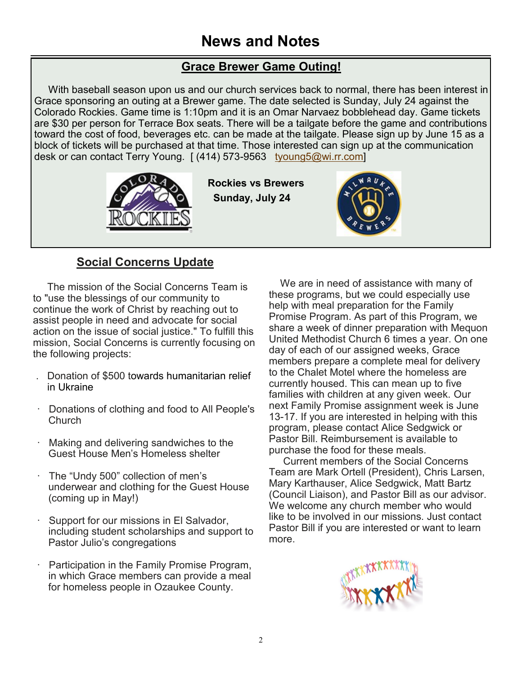# **Grace Brewer Game Outing!**

 With baseball season upon us and our church services back to normal, there has been interest in Grace sponsoring an outing at a Brewer game. The date selected is Sunday, July 24 against the Colorado Rockies. Game time is 1:10pm and it is an Omar Narvaez bobblehead day. Game tickets are \$30 per person for Terrace Box seats. There will be a tailgate before the game and contributions toward the cost of food, beverages etc. can be made at the tailgate. Please sign up by June 15 as a block of tickets will be purchased at that time. Those interested can sign up at the communication desk or can contact Terry Young. [ (414) 573-9563 tyoung5@wi.rr.com]



 **Rockies vs Brewers Sunday, July 24**



# **Social Concerns Update**

 The mission of the Social Concerns Team is to "use the blessings of our community to continue the work of Christ by reaching out to assist people in need and advocate for social action on the issue of social justice." To fulfill this mission, Social Concerns is currently focusing on the following projects:

- . Donation of \$500 towards humanitarian relief in Ukraine
- · Donations of clothing and food to All People's Church
- · Making and delivering sandwiches to the Guest House Men's Homeless shelter
- The "Undy 500" collection of men's underwear and clothing for the Guest House (coming up in May!)
- Support for our missions in El Salvador, including student scholarships and support to Pastor Julio's congregations
- · Participation in the Family Promise Program, in which Grace members can provide a meal for homeless people in Ozaukee County.

 We are in need of assistance with many of these programs, but we could especially use help with meal preparation for the Family Promise Program. As part of this Program, we share a week of dinner preparation with Mequon United Methodist Church 6 times a year. On one day of each of our assigned weeks, Grace members prepare a complete meal for delivery to the Chalet Motel where the homeless are currently housed. This can mean up to five families with children at any given week. Our next Family Promise assignment week is June 13-17. If you are interested in helping with this program, please contact Alice Sedgwick or Pastor Bill. Reimbursement is available to purchase the food for these meals.

 Current members of the Social Concerns Team are Mark Ortell (President), Chris Larsen, Mary Karthauser, Alice Sedgwick, Matt Bartz (Council Liaison), and Pastor Bill as our advisor. We welcome any church member who would like to be involved in our missions. Just contact Pastor Bill if you are interested or want to learn more.

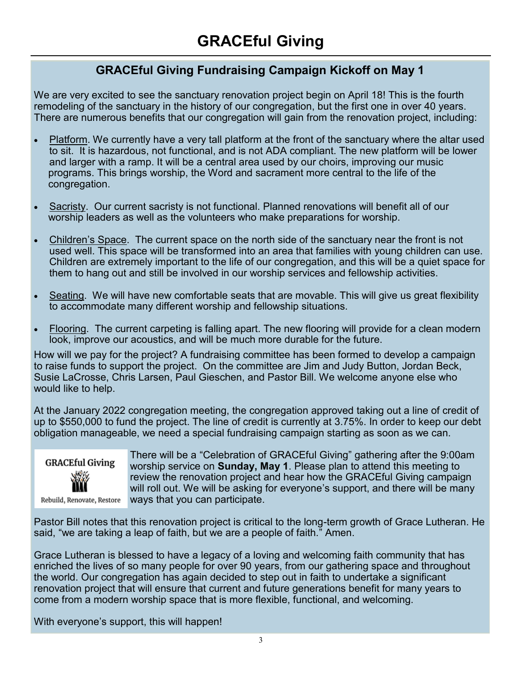# **GRACEful Giving Fundraising Campaign Kickoff on May 1**

We are very excited to see the sanctuary renovation project begin on April 18! This is the fourth remodeling of the sanctuary in the history of our congregation, but the first one in over 40 years. There are numerous benefits that our congregation will gain from the renovation project, including:

- Platform. We currently have a very tall platform at the front of the sanctuary where the altar used to sit. It is hazardous, not functional, and is not ADA compliant. The new platform will be lower and larger with a ramp. It will be a central area used by our choirs, improving our music programs. This brings worship, the Word and sacrament more central to the life of the congregation.
- Sacristy. Our current sacristy is not functional. Planned renovations will benefit all of our worship leaders as well as the volunteers who make preparations for worship.
- Children's Space. The current space on the north side of the sanctuary near the front is not used well. This space will be transformed into an area that families with young children can use. Children are extremely important to the life of our congregation, and this will be a quiet space for them to hang out and still be involved in our worship services and fellowship activities.
- Seating. We will have new comfortable seats that are movable. This will give us great flexibility to accommodate many different worship and fellowship situations.
- Flooring. The current carpeting is falling apart. The new flooring will provide for a clean modern look, improve our acoustics, and will be much more durable for the future.

How will we pay for the project? A fundraising committee has been formed to develop a campaign to raise funds to support the project. On the committee are Jim and Judy Button, Jordan Beck, Susie LaCrosse, Chris Larsen, Paul Gieschen, and Pastor Bill. We welcome anyone else who would like to help.

At the January 2022 congregation meeting, the congregation approved taking out a line of credit of up to \$550,000 to fund the project. The line of credit is currently at 3.75%. In order to keep our debt obligation manageable, we need a special fundraising campaign starting as soon as we can.



There will be a "Celebration of GRACEful Giving" gathering after the 9:00am worship service on **Sunday, May 1**. Please plan to attend this meeting to review the renovation project and hear how the GRACEful Giving campaign will roll out. We will be asking for everyone's support, and there will be many ways that you can participate.

Pastor Bill notes that this renovation project is critical to the long-term growth of Grace Lutheran. He said, "we are taking a leap of faith, but we are a people of faith." Amen.

Grace Lutheran is blessed to have a legacy of a loving and welcoming faith community that has enriched the lives of so many people for over 90 years, from our gathering space and throughout the world. Our congregation has again decided to step out in faith to undertake a significant renovation project that will ensure that current and future generations benefit for many years to come from a modern worship space that is more flexible, functional, and welcoming.

With everyone's support, this will happen!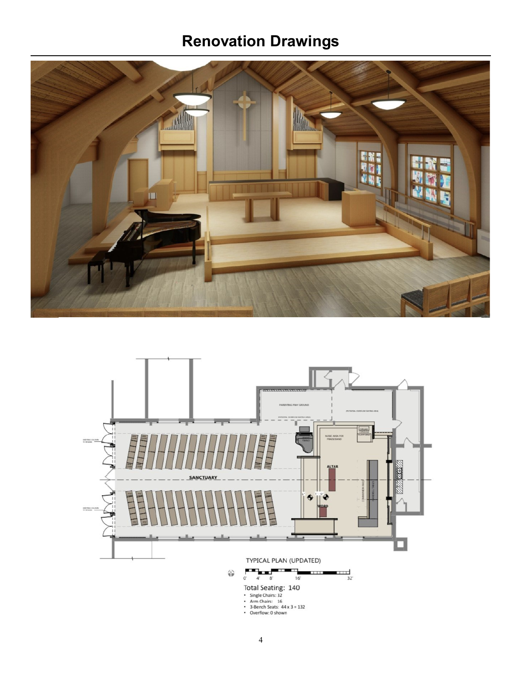# **Renovation Drawings**



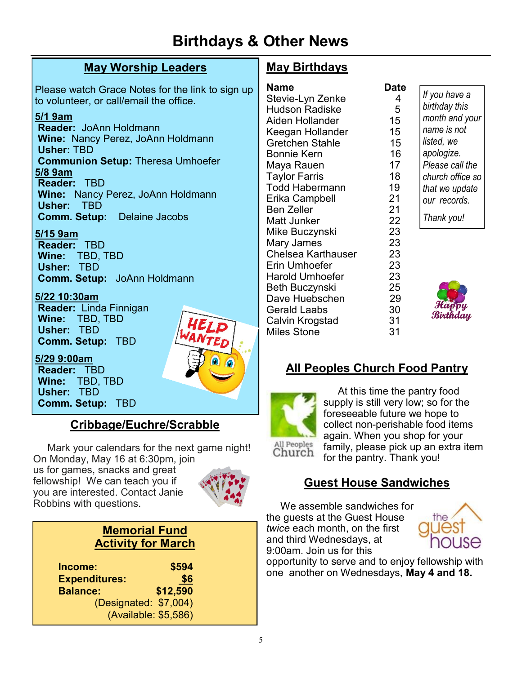# **Birthdays & Other News**

# **May Worship Leaders**

Please watch Grace Notes for the link to sign up to volunteer, or call/email the office.

#### **5/1 9am**

**Reader:** JoAnn Holdmann **Wine:** Nancy Perez, JoAnn Holdmann **Usher:** TBD **Communion Setup:** Theresa Umhoefer **5/8 9am Reader:** TBD **Wine:** Nancy Perez, JoAnn Holdmann **Usher:** TBD **Comm. Setup:** Delaine Jacobs

#### **5/15 9am**

**Reader:** TBD **Wine:** TBD, TBD **Usher:** TBD **Comm. Setup:** JoAnn Holdmann

#### **5/22 10:30am**

**Reader:** Linda Finnigan **Wine:** TBD, TBD **Usher:** TBD **Comm. Setup:** TBD

#### **5/29 9:00am**

**Reader:** TBD **Wine:** TBD, TBD **Usher:** TBD **Comm. Setup:** TBD

# **Cribbage/Euchre/Scrabble**

Mark your calendars for the next game night!

On Monday, May 16 at 6:30pm, join us for games, snacks and great fellowship! We can teach you if you are interested. Contact Janie Robbins with questions.



## **Memorial Fund Activity for March**

| Income:               | \$594    |
|-----------------------|----------|
| <b>Expenditures:</b>  | \$6      |
| <b>Balance:</b>       | \$12,590 |
| (Designated: \$7,004) |          |
| (Available: \$5,586)  |          |

# **May Birthdays**

| Name                   | Dat |
|------------------------|-----|
| Stevie-Lyn Zenke       | 4   |
| <b>Hudson Radiske</b>  | 5   |
| Aiden Hollander        | 15  |
| Keegan Hollander       | 15  |
| <b>Gretchen Stahle</b> | 15  |
| <b>Bonnie Kern</b>     | 16  |
| Maya Rauen             | 17  |
| <b>Taylor Farris</b>   | 18  |
| <b>Todd Habermann</b>  | 19  |
| Erika Campbell         | 21  |
| <b>Ben Zeller</b>      | 21  |
| Matt Junker            | 22  |
| Mike Buczynski         | 23  |
| Mary James             | 23  |
| Chelsea Karthauser     | 23  |
| Erin Umhoefer          | 23  |
| <b>Harold Umhoefer</b> | 23  |
| Beth Buczynski         | 25  |
| Dave Huebschen         | 29  |
| <b>Gerald Laabs</b>    | 30  |
| Calvin Krogstad        | 31  |
| <b>Miles Stone</b>     | 31  |
|                        |     |

*If you have a birthday this month and your name is not listed, we apologize. Please call the church office so that we update our records. Thank you!*

Date



# **All Peoples Church Food Pantry**



 At this time the pantry food supply is still very low; so for the foreseeable future we hope to collect non-perishable food items again. When you shop for your family, please pick up an extra item for the pantry. Thank you!

# **Guest House Sandwiches**

 We assemble sandwiches for the guests at the Guest House *twice* each month, on the first and third Wednesdays, at 9:00am. Join us for this



opportunity to serve and to enjoy fellowship with one another on Wednesdays, **May 4 and 18.**